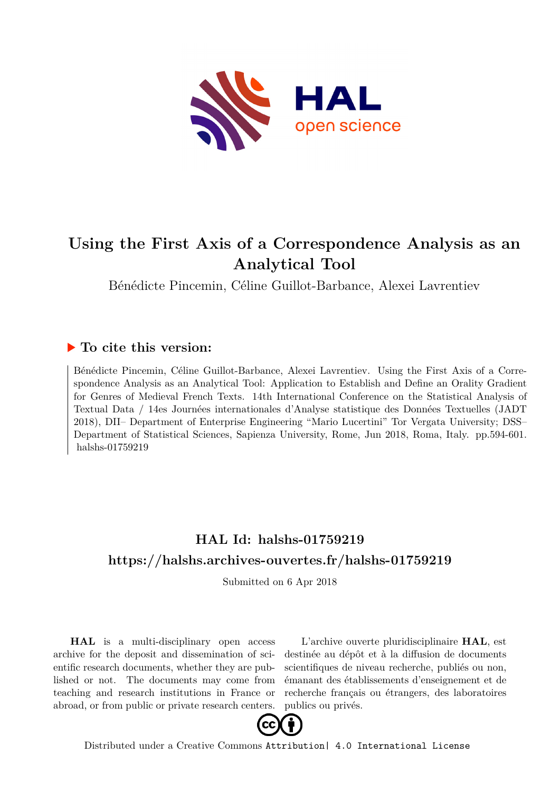

# **Using the First Axis of a Correspondence Analysis as an Analytical Tool**

Bénédicte Pincemin, Céline Guillot-Barbance, Alexei Lavrentiev

### **To cite this version:**

Bénédicte Pincemin, Céline Guillot-Barbance, Alexei Lavrentiev. Using the First Axis of a Correspondence Analysis as an Analytical Tool: Application to Establish and Define an Orality Gradient for Genres of Medieval French Texts. 14th International Conference on the Statistical Analysis of Textual Data / 14es Journées internationales d'Analyse statistique des Données Textuelles (JADT 2018), DII– Department of Enterprise Engineering "Mario Lucertini" Tor Vergata University; DSS– Department of Statistical Sciences, Sapienza University, Rome, Jun 2018, Roma, Italy. pp.594-601. halshs-01759219

## **HAL Id: halshs-01759219 <https://halshs.archives-ouvertes.fr/halshs-01759219>**

Submitted on 6 Apr 2018

**HAL** is a multi-disciplinary open access archive for the deposit and dissemination of scientific research documents, whether they are published or not. The documents may come from teaching and research institutions in France or abroad, or from public or private research centers.

L'archive ouverte pluridisciplinaire **HAL**, est destinée au dépôt et à la diffusion de documents scientifiques de niveau recherche, publiés ou non, émanant des établissements d'enseignement et de recherche français ou étrangers, des laboratoires publics ou privés.



Distributed under a Creative Commons [Attribution| 4.0 International License](http://creativecommons.org/licenses/by/4.0/)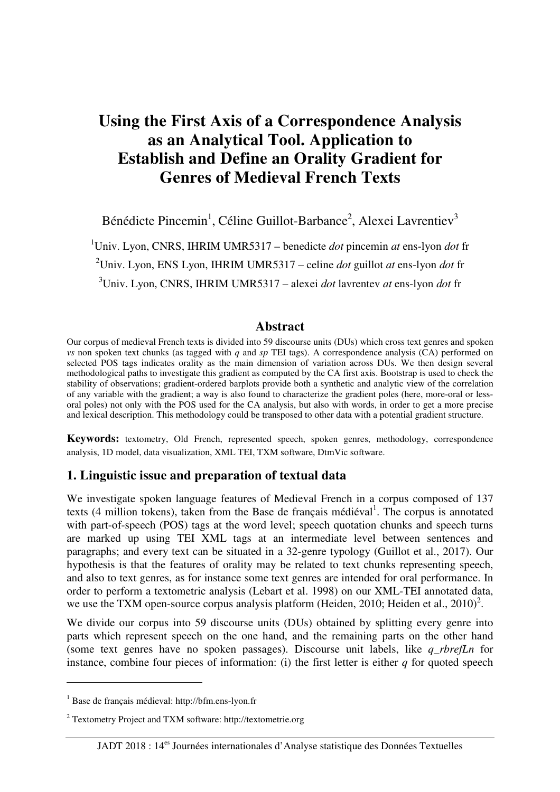## **Using the First Axis of a Correspondence Analysis as an Analytical Tool. Application to Establish and Define an Orality Gradient for Genres of Medieval French Texts**

Bénédicte Pincemin<sup>1</sup>, Céline Guillot-Barbance<sup>2</sup>, Alexei Lavrentiev<sup>3</sup>

<sup>1</sup>Univ. Lyon, CNRS, IHRIM UMR5317 – benedicte *dot* pincemin *at* ens-lyon *dot* fr <sup>2</sup>Univ. Lyon, ENS Lyon, IHRIM UMR5317 – celine *dot* guillot *at* ens-lyon *dot* fr <sup>3</sup>Univ. Lyon, CNRS, IHRIM UMR5317 – alexei *dot* lavrentev *at* ens-lyon *dot* fr

#### **Abstract**

Our corpus of medieval French texts is divided into 59 discourse units (DUs) which cross text genres and spoken *vs* non spoken text chunks (as tagged with *q* and *sp* TEI tags). A correspondence analysis (CA) performed on selected POS tags indicates orality as the main dimension of variation across DUs. We then design several methodological paths to investigate this gradient as computed by the CA first axis. Bootstrap is used to check the stability of observations; gradient-ordered barplots provide both a synthetic and analytic view of the correlation of any variable with the gradient; a way is also found to characterize the gradient poles (here, more-oral or lessoral poles) not only with the POS used for the CA analysis, but also with words, in order to get a more precise and lexical description. This methodology could be transposed to other data with a potential gradient structure.

**Keywords:** textometry, Old French, represented speech, spoken genres, methodology, correspondence analysis, 1D model, data visualization, XML TEI, TXM software, DtmVic software.

#### **1. Linguistic issue and preparation of textual data**

We investigate spoken language features of Medieval French in a corpus composed of 137 texts (4 million tokens), taken from the Base de français médiéval<sup>1</sup>. The corpus is annotated with part-of-speech (POS) tags at the word level; speech quotation chunks and speech turns are marked up using TEI XML tags at an intermediate level between sentences and paragraphs; and every text can be situated in a 32-genre typology (Guillot et al., 2017). Our hypothesis is that the features of orality may be related to text chunks representing speech, and also to text genres, as for instance some text genres are intended for oral performance. In order to perform a textometric analysis (Lebart et al. 1998) on our XML-TEI annotated data, we use the TXM open-source corpus analysis platform (Heiden, 2010; Heiden et al.,  $2010$ )<sup>2</sup>.

We divide our corpus into 59 discourse units (DUs) obtained by splitting every genre into parts which represent speech on the one hand, and the remaining parts on the other hand (some text genres have no spoken passages). Discourse unit labels, like *q\_rbrefLn* for instance, combine four pieces of information: (i) the first letter is either *q* for quoted speech

 $\overline{a}$ 

<sup>1</sup> Base de français médieval: http://bfm.ens-lyon.fr

<sup>&</sup>lt;sup>2</sup> Textometry Project and TXM software: http://textometrie.org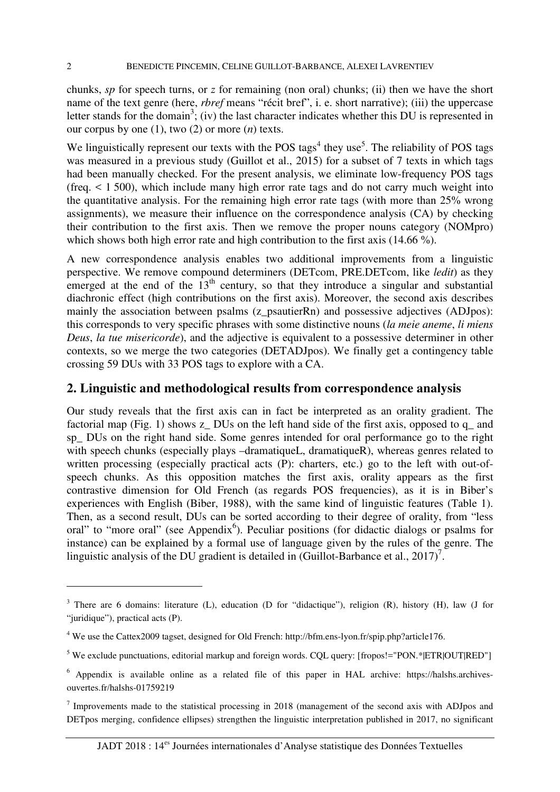chunks, *sp* for speech turns, or *z* for remaining (non oral) chunks; (ii) then we have the short name of the text genre (here, *rbref* means "récit bref", i. e. short narrative); (iii) the uppercase letter stands for the domain<sup>3</sup>; (iv) the last character indicates whether this DU is represented in our corpus by one (1), two (2) or more (*n*) texts.

We linguistically represent our texts with the POS tags<sup>4</sup> they use<sup>5</sup>. The reliability of POS tags was measured in a previous study (Guillot et al., 2015) for a subset of 7 texts in which tags had been manually checked. For the present analysis, we eliminate low-frequency POS tags (freq. < 1 500), which include many high error rate tags and do not carry much weight into the quantitative analysis. For the remaining high error rate tags (with more than 25% wrong assignments), we measure their influence on the correspondence analysis (CA) by checking their contribution to the first axis. Then we remove the proper nouns category (NOMpro) which shows both high error rate and high contribution to the first axis (14.66 %).

A new correspondence analysis enables two additional improvements from a linguistic perspective. We remove compound determiners (DETcom, PRE.DETcom, like *ledit*) as they emerged at the end of the  $13<sup>th</sup>$  century, so that they introduce a singular and substantial diachronic effect (high contributions on the first axis). Moreover, the second axis describes mainly the association between psalms (z\_psautierRn) and possessive adjectives (ADJpos): this corresponds to very specific phrases with some distinctive nouns (*la meie aneme*, *li miens Deus*, *la tue misericorde*), and the adjective is equivalent to a possessive determiner in other contexts, so we merge the two categories (DETADJpos). We finally get a contingency table crossing 59 DUs with 33 POS tags to explore with a CA.

#### **2. Linguistic and methodological results from correspondence analysis**

Our study reveals that the first axis can in fact be interpreted as an orality gradient. The factorial map (Fig. 1) shows  $z$  DUs on the left hand side of the first axis, opposed to  $q$  and sp\_ DUs on the right hand side. Some genres intended for oral performance go to the right with speech chunks (especially plays –dramatiqueL, dramatiqueR), whereas genres related to written processing (especially practical acts (P): charters, etc.) go to the left with out-ofspeech chunks. As this opposition matches the first axis, orality appears as the first contrastive dimension for Old French (as regards POS frequencies), as it is in Biber's experiences with English (Biber, 1988), with the same kind of linguistic features (Table 1). Then, as a second result, DUs can be sorted according to their degree of orality, from "less oral" to "more oral" (see Appendix<sup>6</sup>). Peculiar positions (for didactic dialogs or psalms for instance) can be explained by a formal use of language given by the rules of the genre. The linguistic analysis of the DU gradient is detailed in (Guillot-Barbance et al., 2017)<sup>7</sup>.

 $\overline{a}$ 

<sup>&</sup>lt;sup>3</sup> There are 6 domains: literature (L), education (D for "didactique"), religion (R), history (H), law (J for "juridique"), practical acts (P).

<sup>&</sup>lt;sup>4</sup> We use the Cattex 2009 tagset, designed for Old French: http://bfm.ens-lyon.fr/spip.php?article176.

<sup>&</sup>lt;sup>5</sup> We exclude punctuations, editorial markup and foreign words. CQL query: [fropos!="PON.\*|ETR|OUT|RED"]

<sup>&</sup>lt;sup>6</sup> Appendix is available online as a related file of this paper in HAL archive: https://halshs.archivesouvertes.fr/halshs-01759219

 $7$  Improvements made to the statistical processing in 2018 (management of the second axis with ADJpos and DETpos merging, confidence ellipses) strengthen the linguistic interpretation published in 2017, no significant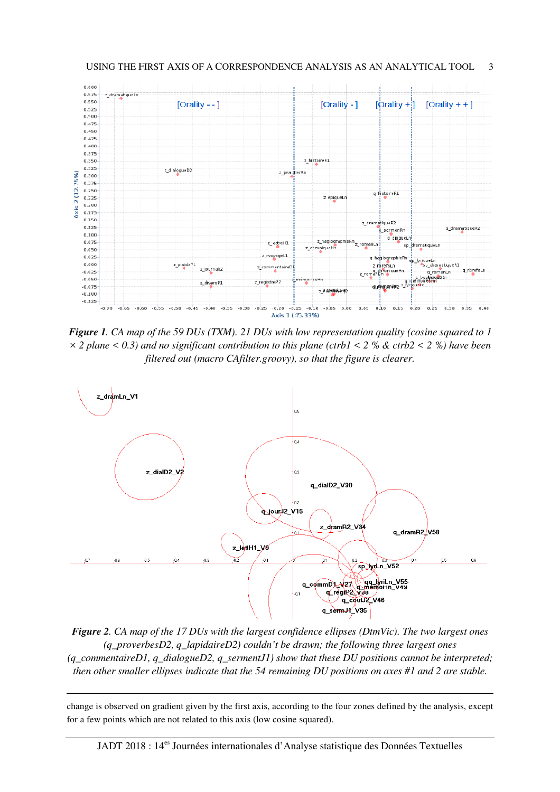

*Figure 1. CA map of the 59 DUs (TXM). 21 DUs with low representation quality (cosine squared to 1 × 2 plane < 0.3) and no significant contribution to this plane (ctrb1 < 2 % & ctrb2 < 2 %) have been filtered out (macro CAfilter.groovy), so that the figure is clearer.* 



*Figure 2. CA map of the 17 DUs with the largest confidence ellipses (DtmVic). The two largest ones (q\_proverbesD2, q\_lapidaireD2) couldn't be drawn; the following three largest ones (q\_commentaireD1, q\_dialogueD2, q\_sermentJ1) show that these DU positions cannot be interpreted; then other smaller ellipses indicate that the 54 remaining DU positions on axes #1 and 2 are stable.* 

change is observed on gradient given by the first axis, according to the four zones defined by the analysis, except for a few points which are not related to this axis (low cosine squared).

 $\overline{a}$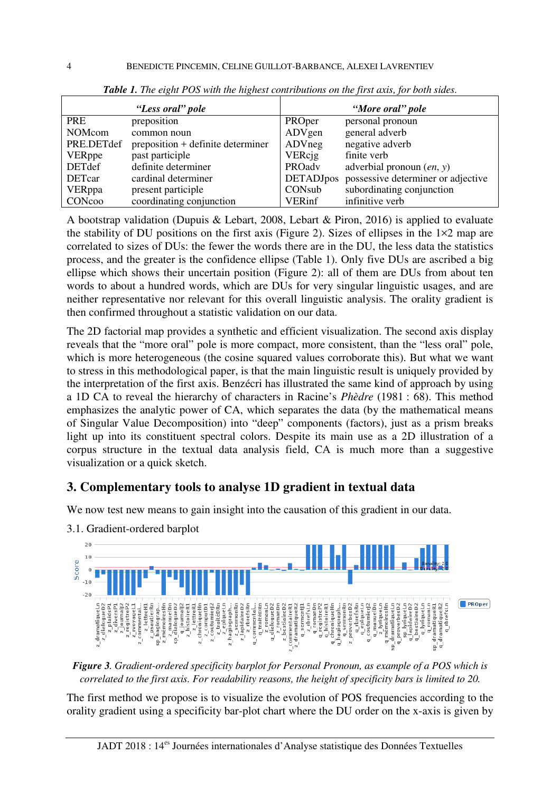|               | "Less oral" pole                  | "More oral" pole |                                    |  |  |  |  |
|---------------|-----------------------------------|------------------|------------------------------------|--|--|--|--|
| <b>PRE</b>    | preposition                       | PROper           | personal pronoun                   |  |  |  |  |
| <b>NOMcom</b> | common noun                       | ADVgen           | general adverb                     |  |  |  |  |
| PRE.DETdef    | preposition + definite determiner | ADVneg           | negative adverb                    |  |  |  |  |
| <b>VERppe</b> | past participle                   | <b>VERcjg</b>    | finite verb                        |  |  |  |  |
| <b>DETdef</b> | definite determiner               | PROadv           | adverbial pronoun $(en, y)$        |  |  |  |  |
| <b>DETcar</b> | cardinal determiner               | <b>DETADJpos</b> | possessive determiner or adjective |  |  |  |  |
| <b>VERppa</b> | present participle                | CONsub           | subordinating conjunction          |  |  |  |  |
| CONcoo        | coordinating conjunction          | <b>VERinf</b>    | infinitive verb                    |  |  |  |  |

*Table 1. The eight POS with the highest contributions on the first axis, for both sides.* 

A bootstrap validation (Dupuis & Lebart, 2008, Lebart & Piron, 2016) is applied to evaluate the stability of DU positions on the first axis (Figure 2). Sizes of ellipses in the  $1\times2$  map are correlated to sizes of DUs: the fewer the words there are in the DU, the less data the statistics process, and the greater is the confidence ellipse (Table 1). Only five DUs are ascribed a big ellipse which shows their uncertain position (Figure 2): all of them are DUs from about ten words to about a hundred words, which are DUs for very singular linguistic usages, and are neither representative nor relevant for this overall linguistic analysis. The orality gradient is then confirmed throughout a statistic validation on our data.

The 2D factorial map provides a synthetic and efficient visualization. The second axis display reveals that the "more oral" pole is more compact, more consistent, than the "less oral" pole, which is more heterogeneous (the cosine squared values corroborate this). But what we want to stress in this methodological paper, is that the main linguistic result is uniquely provided by the interpretation of the first axis. Benzécri has illustrated the same kind of approach by using a 1D CA to reveal the hierarchy of characters in Racine's *Phèdre* (1981 : 68). This method emphasizes the analytic power of CA, which separates the data (by the mathematical means of Singular Value Decomposition) into "deep" components (factors), just as a prism breaks light up into its constituent spectral colors. Despite its main use as a 2D illustration of a corpus structure in the textual data analysis field, CA is much more than a suggestive visualization or a quick sketch.

#### **3. Complementary tools to analyse 1D gradient in textual data**

We now test new means to gain insight into the causation of this gradient in our data.



3.1. Gradient-ordered barplot

*Figure 3. Gradient-ordered specificity barplot for Personal Pronoun, as example of a POS which is correlated to the first axis. For readability reasons, the height of specificity bars is limited to 20.* 

The first method we propose is to visualize the evolution of POS frequencies according to the orality gradient using a specificity bar-plot chart where the DU order on the x-axis is given by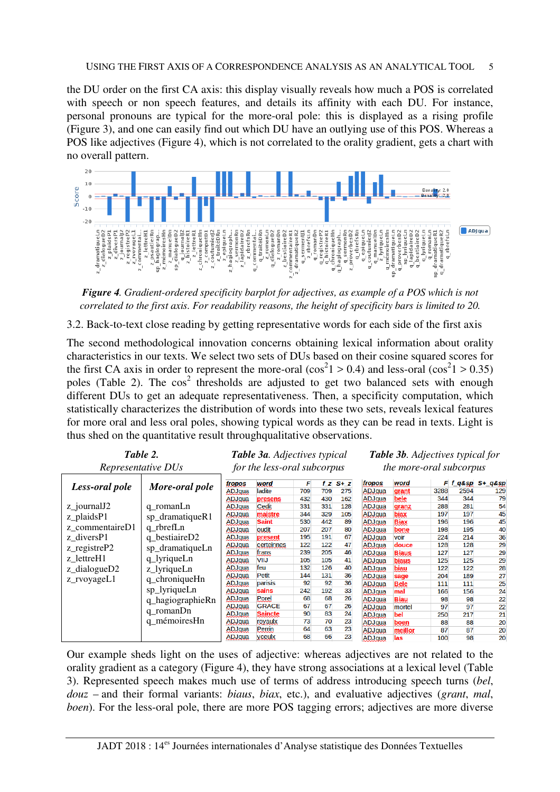the DU order on the first CA axis: this display visually reveals how much a POS is correlated with speech or non speech features, and details its affinity with each DU. For instance, personal pronouns are typical for the more-oral pole: this is displayed as a rising profile (Figure 3), and one can easily find out which DU have an outlying use of this POS. Whereas a POS like adjectives (Figure 4), which is not correlated to the orality gradient, gets a chart with no overall pattern.



*Figure 4. Gradient-ordered specificity barplot for adjectives, as example of a POS which is not correlated to the first axis. For readability reasons, the height of specificity bars is limited to 20.* 

3.2. Back-to-text close reading by getting representative words for each side of the first axis

The second methodological innovation concerns obtaining lexical information about orality characteristics in our texts. We select two sets of DUs based on their cosine squared scores for the first CA axis in order to represent the more-oral  $(\cos^2 1 > 0.4)$  and less-oral  $(\cos^2 1 > 0.35)$ poles (Table 2). The  $cos<sup>2</sup>$  thresholds are adjusted to get two balanced sets with enough different DUs to get an adequate representativeness. Then, a specificity computation, which statistically characterizes the distribution of words into these two sets, reveals lexical features for more oral and less oral poles, showing typical words as they can be read in texts. Light is thus shed on the quantitative result throughqualitative observations.

| Table 2.                                                                         |                                                                                                                                                                                               | Table 3a. Adjectives typical |                |     |     |       | <b>Table 3b.</b> Adjectives typical for |              |      |               |         |  |
|----------------------------------------------------------------------------------|-----------------------------------------------------------------------------------------------------------------------------------------------------------------------------------------------|------------------------------|----------------|-----|-----|-------|-----------------------------------------|--------------|------|---------------|---------|--|
| Representative DUs                                                               |                                                                                                                                                                                               | for the less-oral subcorpus  |                |     |     |       | the more-oral subcorpus                 |              |      |               |         |  |
| Less-oral pole                                                                   | More-oral pole                                                                                                                                                                                | fropos                       | word           | F   | f z | $S+Z$ | fropos                                  | word         |      | $F$ f $q$ &sp | S+_q&sp |  |
|                                                                                  |                                                                                                                                                                                               | ADJqua                       | ladite         | 709 | 709 | 275   | ADJqua                                  | grant        | 3288 | 2594          | 129     |  |
| z_journalJ2<br>z_plaidsP1                                                        | q romanLn<br>sp_dramatiqueR1<br>q rbrefLn<br>q_bestiaireD2<br>sp_dramatiqueLn<br>q_lyriqueLn<br>z_lyriqueLn<br>q_chroniqueHn<br>sp_lyriqueLn<br>q_hagiographieRn<br>q_romanDn<br>q mémoiresHn | ADJqua                       | presens        | 432 | 430 | 162   | ADJqua                                  | bele         | 344  | 344           | 79      |  |
|                                                                                  |                                                                                                                                                                                               | ADJqua                       | Cedit          | 331 | 331 | 128   | ADJqua                                  | granz        | 288  | 281           | 54      |  |
|                                                                                  |                                                                                                                                                                                               | ADJqua                       | maistre        | 344 | 329 | 105   | ADJqua                                  | biax         | 197  | 197           | 45      |  |
|                                                                                  |                                                                                                                                                                                               | ADJqua                       | <b>Saint</b>   | 530 | 442 | 89    | ADJqua                                  | <b>Biax</b>  | 196  | 196           | 45      |  |
| z commentaireD1                                                                  |                                                                                                                                                                                               | ADJqua                       | oudit          | 207 | 207 | 80    | ADJqua                                  | bone         | 198  | 195           | 40      |  |
| z diversP1<br>$z$ _registre $P2$<br>z lettreH1<br>$z$ _dialogueD2<br>z_rvoyageL1 |                                                                                                                                                                                               | ADJqua                       | present        | 195 | 191 | 67    | ADJqua                                  | voir         | 224  | 214           | 36      |  |
|                                                                                  |                                                                                                                                                                                               | ADJqua                       | certeinnes     | 122 | 122 | 47    | ADJqua                                  | douce        | 128  | 128           | 29      |  |
|                                                                                  |                                                                                                                                                                                               | ADJqua                       | frans          | 239 | 205 | 46    | <b>ADJqua</b>                           | <b>Biaus</b> | 127  | 127           | 29      |  |
|                                                                                  |                                                                                                                                                                                               | ADJgua                       | <b>VIIJ</b>    | 105 | 105 | 41    | ADJqua                                  | <b>biaus</b> | 125  | 125           | 29      |  |
|                                                                                  |                                                                                                                                                                                               | ADJqua                       | feu            | 132 | 126 | 40    | <b>ADJgua</b>                           | biau         | 122  | 122           | 28      |  |
|                                                                                  |                                                                                                                                                                                               | <b>ADJqua</b>                | Petit          | 144 | 131 | 36    | ADJqua                                  | sage         | 204  | 189           | 27      |  |
|                                                                                  |                                                                                                                                                                                               | ADJqua                       | parisis        | 92  | 92  | 36    | ADJqua                                  | <b>Bele</b>  | 111  | 111           | 25      |  |
|                                                                                  |                                                                                                                                                                                               | ADJqua                       | sains          | 242 | 192 | 33    | ADJqua                                  | mal          | 166  | 156           | 24      |  |
|                                                                                  |                                                                                                                                                                                               | ADJqua                       | Porel          | 68  | 68  | 26    | ADJqua                                  | <b>Biau</b>  | 98   | 98            | 22      |  |
|                                                                                  |                                                                                                                                                                                               | <b>ADJqua</b>                | <b>GRACE</b>   | 67  | 67  | 26    | ADJqua                                  | mortel       | 97   | 97            | 22      |  |
|                                                                                  |                                                                                                                                                                                               | ADJqua                       | <b>Saincte</b> | 90  | 83  | 24    | ADJqua                                  | bel          | 250  | 217           | 21      |  |
|                                                                                  |                                                                                                                                                                                               | ADJqua                       | royaulx        | 73  | 70  | 23    | ADJqua                                  | boen         | 88   | 88            | 20      |  |
|                                                                                  |                                                                                                                                                                                               | ADJqua                       | Perrin         | 64  | 63  | 23    | ADJqua                                  | meillor      | 87   | 87            | 20      |  |
|                                                                                  |                                                                                                                                                                                               | ADJqua                       | yceulx         | 68  | 66  | 23    | ADJqua                                  | las          | 100  | 98            | 20      |  |

Our example sheds light on the uses of adjective: whereas adjectives are not related to the orality gradient as a category (Figure 4), they have strong associations at a lexical level (Table 3). Represented speech makes much use of terms of address introducing speech turns (*bel*, *douz* – and their formal variants: *biaus*, *biax*, etc.), and evaluative adjectives (*grant*, *mal*, *boen*). For the less-oral pole, there are more POS tagging errors; adjectives are more diverse